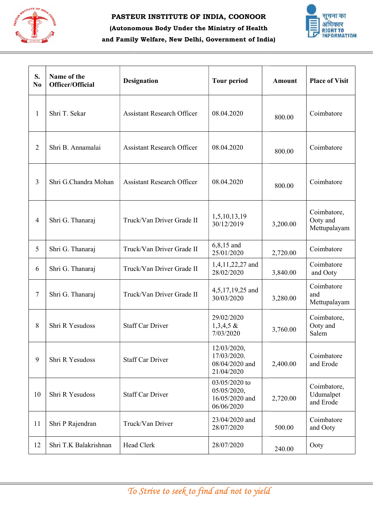

## (Autonomous Body Under the Ministry of Health and Family Welfare, New Delhi, Government of India)



| S.<br>N <sub>0</sub> | Name of the<br>Officer/Official | <b>Designation</b>                         | <b>Tour period</b>                                           | <b>Amount</b> | <b>Place of Visit</b>                   |
|----------------------|---------------------------------|--------------------------------------------|--------------------------------------------------------------|---------------|-----------------------------------------|
| $\mathbf{1}$         | Shri T. Sekar                   | <b>Assistant Research Officer</b>          | 08.04.2020                                                   | 800.00        | Coimbatore                              |
| $\overline{2}$       | Shri B. Annamalai               | <b>Assistant Research Officer</b>          | 08.04.2020                                                   | 800.00        | Coimbatore                              |
| 3                    | Shri G.Chandra Mohan            | <b>Assistant Research Officer</b>          | 08.04.2020                                                   | 800.00        | Coimbatore                              |
| $\overline{4}$       | Shri G. Thanaraj                | Truck/Van Driver Grade II                  | 1,5,10,13,19<br>30/12/2019                                   | 3,200.00      | Coimbatore,<br>Ooty and<br>Mettupalayam |
| 5                    | Shri G. Thanaraj                | Truck/Van Driver Grade II                  | $6,8,15$ and<br>25/01/2020                                   | 2,720.00      | Coimbatore                              |
| 6                    | Shri G. Thanaraj                | Truck/Van Driver Grade II                  | 1,4,11,22,27 and<br>28/02/2020                               | 3,840.00      | Coimbatore<br>and Ooty                  |
| $\tau$               | Shri G. Thanaraj                | Truck/Van Driver Grade II                  | 4,5,17,19,25 and<br>30/03/2020                               | 3,280.00      | Coimbatore<br>and<br>Mettupalayam       |
| 8                    | Shri R Yesudoss                 | <b>Staff Car Driver</b>                    | 29/02/2020<br>$1,3,4,5 \&$<br>7/03/2020                      | 3,760.00      | Coimbatore,<br>Ooty and<br>Salem        |
| $\overline{9}$       | Shri R Yesudoss                 | <b>Staff Car Driver</b>                    | 12/03/2020,<br>17/03/2020.<br>08/04/2020 and<br>21/04/2020   | 2,400.00      | Coimbatore<br>and Erode                 |
| 10                   | Shri R Yesudoss                 | <b>Staff Car Driver</b>                    | 03/05/2020 to<br>05/05/2020,<br>16/05/2020 and<br>06/06/2020 | 2,720.00      | Coimbatore,<br>Udumalpet<br>and Erode   |
| 11                   | Shri P Rajendran                | Truck/Van Driver                           | 23/04/2020 and<br>28/07/2020                                 | 500.00        | Coimbatore<br>and Ooty                  |
| 12                   | Shri T.K Balakrishnan           | Head Clerk                                 | 28/07/2020                                                   | 240.00        | Ooty                                    |
|                      |                                 | To Strive to seek to find and not to yield |                                                              |               |                                         |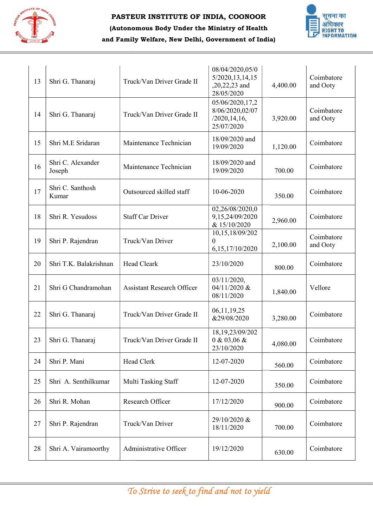

## (Autonomous Body Under the Ministry of Health and Family Welfare, New Delhi, Government of India)



| 13 | Shri G. Thanaraj            | Truck/Van Driver Grade II         | 08/04/2020,05/0<br>5/2020, 13, 14, 15<br>,20,22,23 and<br>28/05/2020 | 4,400.00 | Coimbatore<br>and Ooty |
|----|-----------------------------|-----------------------------------|----------------------------------------------------------------------|----------|------------------------|
| 14 | Shri G. Thanaraj            | Truck/Van Driver Grade II         | 05/06/2020,17,2<br>8/06/2020,02/07<br>/2020, 14, 16,<br>25/07/2020   | 3,920.00 | Coimbatore<br>and Ooty |
| 15 | Shri M.E Sridaran           | Maintenance Technician            | 18/09/2020 and<br>19/09/2020                                         | 1,120.00 | Coimbatore             |
| 16 | Shri C. Alexander<br>Joseph | Maintenance Technician            | 18/09/2020 and<br>19/09/2020                                         | 700.00   | Coimbatore             |
| 17 | Shri C. Santhosh<br>Kumar   | Outsourced skilled staff          | 10-06-2020                                                           | 350.00   | Coimbatore             |
| 18 | Shri R. Yesudoss            | <b>Staff Car Driver</b>           | 02,26/08/2020,0<br>9,15,24/09/2020<br>& 15/10/2020                   | 2,960.00 | Coimbatore             |
| 19 | Shri P. Rajendran           | Truck/Van Driver                  | 10,15,18/09/202<br>$\mathbf{0}$<br>6,15,17/10/2020                   | 2,100.00 | Coimbatore<br>and Ooty |
| 20 | Shri T.K. Balakrishnan      | Head Cleark                       | 23/10/2020                                                           | 800.00   | Coimbatore             |
| 21 | Shri G Chandramohan         | <b>Assistant Research Officer</b> | 03/11/2020,<br>04/11/2020 &<br>08/11/2020                            | 1,840.00 | Vellore                |
| 22 | Shri G. Thanaraj            | Truck/Van Driver Grade II         | 06,11,19,25<br>&29/08/2020                                           | 3,280.00 | Coimbatore             |
| 23 | Shri G. Thanaraj            | Truck/Van Driver Grade II         | 18,19,23/09/202<br>0 & 03,06 &<br>23/10/2020                         | 4,080.00 | Coimbatore             |
| 24 | Shri P. Mani                | Head Clerk                        | 12-07-2020                                                           | 560.00   | Coimbatore             |
| 25 | Shri A. Senthilkumar        | Multi Tasking Staff               | 12-07-2020                                                           | 350.00   | Coimbatore             |
| 26 | Shri R. Mohan               | Research Officer                  | 17/12/2020                                                           | 900.00   | Coimbatore             |
| 27 | Shri P. Rajendran           | Truck/Van Driver                  | 29/10/2020 &<br>18/11/2020                                           | 700.00   | Coimbatore             |
|    | Shri A. Vairamoorthy        | Administrative Officer            | 19/12/2020                                                           | 630.00   | Coimbatore             |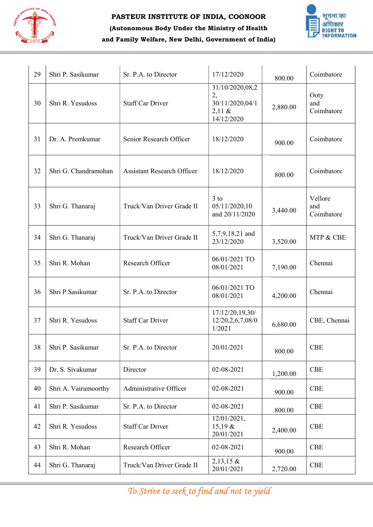

## (Autonomous Body Under the Ministry of Health and Family Welfare, New Delhi, Government of India)



| 29 | Shri P. Sasikumar    | Sr. P.A. to Director              | 17/12/2020                                                       | 800.00   | Coimbatore                   |
|----|----------------------|-----------------------------------|------------------------------------------------------------------|----------|------------------------------|
| 30 | Shri R. Yesudoss     | <b>Staff Car Driver</b>           | 31/10/2020,08,2<br>2,<br>30/11/2020,04/1<br>2,11 &<br>14/12/2020 | 2,880.00 | Ooty<br>and<br>Coimbatore    |
| 31 | Dr. A. Premkumar     | Senior Research Officer           | 18/12/2020                                                       | 900.00   | Coimbatore                   |
| 32 | Shri G. Chandramohan | <b>Assistant Research Officer</b> | 18/12/2020                                                       | 800.00   | Coimbatore                   |
| 33 | Shri G. Thanaraj     | Truck/Van Driver Grade II         | $3$ to<br>05/11/2020,10<br>and 20/11/2020                        | 3,440.00 | Vellore<br>and<br>Coimbatore |
| 34 | Shri G. Thanaraj     | Truck/Van Driver Grade II         | 5,7,9,18,21 and<br>23/12/2020                                    | 3,520.00 | MTP & CBE                    |
| 35 | Shri R. Mohan        | Research Officer                  | 06/01/2021 TO<br>08/01/2021                                      | 7,190.00 | Chennai                      |
| 36 | Shri P Sasikumar     | Sr. P.A. to Director              | 06/01/2021 TO<br>08/01/2021                                      | 4,200.00 | Chennai                      |
| 37 | Shri R. Yesudoss     | <b>Staff Car Driver</b>           | 17/12/20,19,30/<br>12/20,2,6,7,08/0<br>1/2021                    | 6,680.00 | CBE, Chennai                 |
| 38 | Shri P. Sasikumar    | Sr. P.A. to Director              | 20/01/2021                                                       | 800.00   | <b>CBE</b>                   |
| 39 | Dr. S. Sivakumar     | Director                          | 02-08-2021                                                       | 1,200.00 | <b>CBE</b>                   |
| 40 | Shri A. Vairamoorthy | Administrative Officer            | 02-08-2021                                                       | 900.00   | <b>CBE</b>                   |
| 41 | Shri P. Sasikumar    | Sr. P.A. to Director              | 02-08-2021                                                       | 800.00   | <b>CBE</b>                   |
| 42 | Shri R. Yesudoss     | <b>Staff Car Driver</b>           | 12/01/2021,<br>$15,19 \&$<br>20/01/2021                          | 2,400.00 | <b>CBE</b>                   |
| 43 | Shri R. Mohan        | Research Officer                  | 02-08-2021                                                       | 900.00   | <b>CBE</b>                   |
| 44 | Shri G. Thanaraj     | Truck/Van Driver Grade II         | $2,13,15 \&$<br>20/01/2021                                       | 2,720.00 | CBE                          |